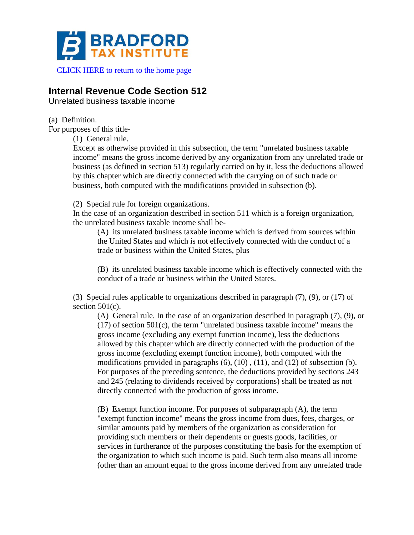

[CLICK HERE to return to the home page](https://www.bradfordtaxinstitute.com)

# **Internal Revenue Code Section 512**

Unrelated business taxable income

(a) Definition.

For purposes of this title-

(1) General rule.

Except as otherwise provided in this subsection, the term "unrelated business taxable income" means the gross income derived by any organization from any unrelated trade or business (as defined in section 513) regularly carried on by it, less the deductions allowed by this chapter which are directly connected with the carrying on of such trade or business, both computed with the modifications provided in subsection (b).

(2) Special rule for foreign organizations.

In the case of an organization described in section 511 which is a foreign organization, the unrelated business taxable income shall be-

(A) its unrelated business taxable income which is derived from sources within the United States and which is not effectively connected with the conduct of a trade or business within the United States, plus

(B) its unrelated business taxable income which is effectively connected with the conduct of a trade or business within the United States.

(3) Special rules applicable to organizations described in paragraph (7), (9), or (17) of section  $501(c)$ .

(A) General rule. In the case of an organization described in paragraph (7), (9), or  $(17)$  of section 501 $(c)$ , the term "unrelated business taxable income" means the gross income (excluding any exempt function income), less the deductions allowed by this chapter which are directly connected with the production of the gross income (excluding exempt function income), both computed with the modifications provided in paragraphs (6), (10) , (11), and (12) of subsection (b). For purposes of the preceding sentence, the deductions provided by sections 243 and 245 (relating to dividends received by corporations) shall be treated as not directly connected with the production of gross income.

(B) Exempt function income. For purposes of subparagraph (A), the term "exempt function income" means the gross income from dues, fees, charges, or similar amounts paid by members of the organization as consideration for providing such members or their dependents or guests goods, facilities, or services in furtherance of the purposes constituting the basis for the exemption of the organization to which such income is paid. Such term also means all income (other than an amount equal to the gross income derived from any unrelated trade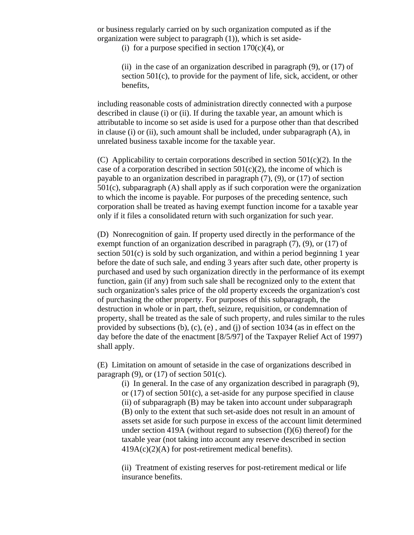or business regularly carried on by such organization computed as if the organization were subject to paragraph (1)), which is set aside-

(i) for a purpose specified in section  $170(c)(4)$ , or

(ii) in the case of an organization described in paragraph (9), or (17) of section 501(c), to provide for the payment of life, sick, accident, or other benefits,

including reasonable costs of administration directly connected with a purpose described in clause (i) or (ii). If during the taxable year, an amount which is attributable to income so set aside is used for a purpose other than that described in clause (i) or (ii), such amount shall be included, under subparagraph (A), in unrelated business taxable income for the taxable year.

(C) Applicability to certain corporations described in section  $501(c)(2)$ . In the case of a corporation described in section  $501(c)(2)$ , the income of which is payable to an organization described in paragraph (7), (9), or (17) of section 501(c), subparagraph (A) shall apply as if such corporation were the organization to which the income is payable. For purposes of the preceding sentence, such corporation shall be treated as having exempt function income for a taxable year only if it files a consolidated return with such organization for such year.

(D) Nonrecognition of gain. If property used directly in the performance of the exempt function of an organization described in paragraph (7), (9), or (17) of section 501(c) is sold by such organization, and within a period beginning 1 year before the date of such sale, and ending 3 years after such date, other property is purchased and used by such organization directly in the performance of its exempt function, gain (if any) from such sale shall be recognized only to the extent that such organization's sales price of the old property exceeds the organization's cost of purchasing the other property. For purposes of this subparagraph, the destruction in whole or in part, theft, seizure, requisition, or condemnation of property, shall be treated as the sale of such property, and rules similar to the rules provided by subsections (b), (c), (e) , and (j) of section 1034 (as in effect on the day before the date of the enactment [8/5/97] of the Taxpayer Relief Act of 1997) shall apply.

(E) Limitation on amount of setaside in the case of organizations described in paragraph  $(9)$ , or  $(17)$  of section 501 $(c)$ .

(i) In general. In the case of any organization described in paragraph (9), or (17) of section 501(c), a set-aside for any purpose specified in clause (ii) of subparagraph (B) may be taken into account under subparagraph (B) only to the extent that such set-aside does not result in an amount of assets set aside for such purpose in excess of the account limit determined under section 419A (without regard to subsection (f)(6) thereof) for the taxable year (not taking into account any reserve described in section  $419A(c)(2)(A)$  for post-retirement medical benefits).

(ii) Treatment of existing reserves for post-retirement medical or life insurance benefits.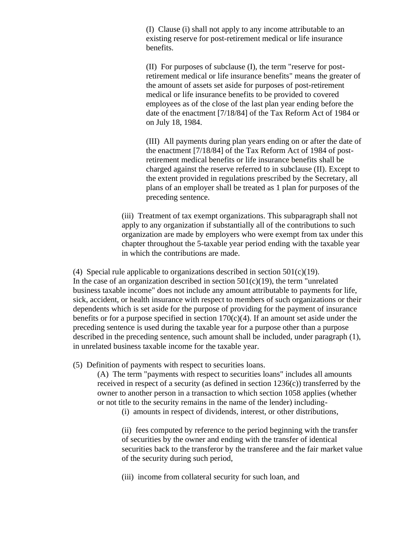(I) Clause (i) shall not apply to any income attributable to an existing reserve for post-retirement medical or life insurance benefits.

(II) For purposes of subclause (I), the term "reserve for postretirement medical or life insurance benefits" means the greater of the amount of assets set aside for purposes of post-retirement medical or life insurance benefits to be provided to covered employees as of the close of the last plan year ending before the date of the enactment [7/18/84] of the Tax Reform Act of 1984 or on July 18, 1984.

(III) All payments during plan years ending on or after the date of the enactment [7/18/84] of the Tax Reform Act of 1984 of postretirement medical benefits or life insurance benefits shall be charged against the reserve referred to in subclause (II). Except to the extent provided in regulations prescribed by the Secretary, all plans of an employer shall be treated as 1 plan for purposes of the preceding sentence.

(iii) Treatment of tax exempt organizations. This subparagraph shall not apply to any organization if substantially all of the contributions to such organization are made by employers who were exempt from tax under this chapter throughout the 5-taxable year period ending with the taxable year in which the contributions are made.

(4) Special rule applicable to organizations described in section  $501(c)(19)$ . In the case of an organization described in section  $501(c)(19)$ , the term "unrelated" business taxable income" does not include any amount attributable to payments for life, sick, accident, or health insurance with respect to members of such organizations or their dependents which is set aside for the purpose of providing for the payment of insurance benefits or for a purpose specified in section  $170(c)(4)$ . If an amount set aside under the preceding sentence is used during the taxable year for a purpose other than a purpose described in the preceding sentence, such amount shall be included, under paragraph (1), in unrelated business taxable income for the taxable year.

(5) Definition of payments with respect to securities loans.

(A) The term "payments with respect to securities loans" includes all amounts received in respect of a security (as defined in section 1236(c)) transferred by the owner to another person in a transaction to which section 1058 applies (whether or not title to the security remains in the name of the lender) including-

(i) amounts in respect of dividends, interest, or other distributions,

(ii) fees computed by reference to the period beginning with the transfer of securities by the owner and ending with the transfer of identical securities back to the transferor by the transferee and the fair market value of the security during such period,

(iii) income from collateral security for such loan, and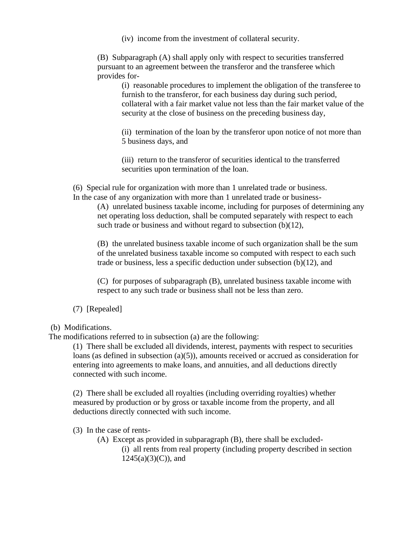(iv) income from the investment of collateral security.

(B) Subparagraph (A) shall apply only with respect to securities transferred pursuant to an agreement between the transferor and the transferee which provides for-

(i) reasonable procedures to implement the obligation of the transferee to furnish to the transferor, for each business day during such period, collateral with a fair market value not less than the fair market value of the security at the close of business on the preceding business day,

(ii) termination of the loan by the transferor upon notice of not more than 5 business days, and

(iii) return to the transferor of securities identical to the transferred securities upon termination of the loan.

(6) Special rule for organization with more than 1 unrelated trade or business. In the case of any organization with more than 1 unrelated trade or business-

(A) unrelated business taxable income, including for purposes of determining any net operating loss deduction, shall be computed separately with respect to each such trade or business and without regard to subsection (b)(12),

(B) the unrelated business taxable income of such organization shall be the sum of the unrelated business taxable income so computed with respect to each such trade or business, less a specific deduction under subsection (b)(12), and

(C) for purposes of subparagraph (B), unrelated business taxable income with respect to any such trade or business shall not be less than zero.

(7) [Repealed]

(b) Modifications.

The modifications referred to in subsection (a) are the following:

(1) There shall be excluded all dividends, interest, payments with respect to securities loans (as defined in subsection (a)(5)), amounts received or accrued as consideration for entering into agreements to make loans, and annuities, and all deductions directly connected with such income.

(2) There shall be excluded all royalties (including overriding royalties) whether measured by production or by gross or taxable income from the property, and all deductions directly connected with such income.

(3) In the case of rents-

(A) Except as provided in subparagraph (B), there shall be excluded-

(i) all rents from real property (including property described in section  $1245(a)(3)(C)$ , and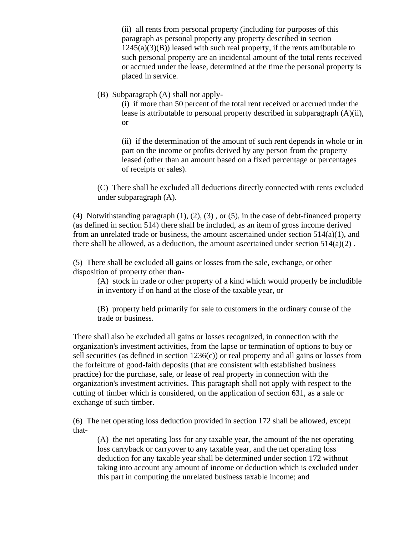(ii) all rents from personal property (including for purposes of this paragraph as personal property any property described in section  $1245(a)(3)(B)$ ) leased with such real property, if the rents attributable to such personal property are an incidental amount of the total rents received or accrued under the lease, determined at the time the personal property is placed in service.

(B) Subparagraph (A) shall not apply-

(i) if more than 50 percent of the total rent received or accrued under the lease is attributable to personal property described in subparagraph (A)(ii), or

(ii) if the determination of the amount of such rent depends in whole or in part on the income or profits derived by any person from the property leased (other than an amount based on a fixed percentage or percentages of receipts or sales).

(C) There shall be excluded all deductions directly connected with rents excluded under subparagraph (A).

(4) Notwithstanding paragraph  $(1)$ ,  $(2)$ ,  $(3)$ , or  $(5)$ , in the case of debt-financed property (as defined in section 514) there shall be included, as an item of gross income derived from an unrelated trade or business, the amount ascertained under section 514(a)(1), and there shall be allowed, as a deduction, the amount ascertained under section  $514(a)(2)$ .

(5) There shall be excluded all gains or losses from the sale, exchange, or other disposition of property other than-

(A) stock in trade or other property of a kind which would properly be includible in inventory if on hand at the close of the taxable year, or

(B) property held primarily for sale to customers in the ordinary course of the trade or business.

There shall also be excluded all gains or losses recognized, in connection with the organization's investment activities, from the lapse or termination of options to buy or sell securities (as defined in section  $1236(c)$ ) or real property and all gains or losses from the forfeiture of good-faith deposits (that are consistent with established business practice) for the purchase, sale, or lease of real property in connection with the organization's investment activities. This paragraph shall not apply with respect to the cutting of timber which is considered, on the application of section 631, as a sale or exchange of such timber.

(6) The net operating loss deduction provided in section 172 shall be allowed, except that-

(A) the net operating loss for any taxable year, the amount of the net operating loss carryback or carryover to any taxable year, and the net operating loss deduction for any taxable year shall be determined under section 172 without taking into account any amount of income or deduction which is excluded under this part in computing the unrelated business taxable income; and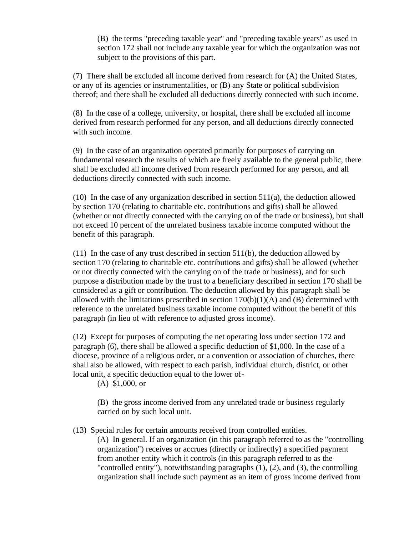(B) the terms "preceding taxable year" and "preceding taxable years" as used in section 172 shall not include any taxable year for which the organization was not subject to the provisions of this part.

(7) There shall be excluded all income derived from research for (A) the United States, or any of its agencies or instrumentalities, or (B) any State or political subdivision thereof; and there shall be excluded all deductions directly connected with such income.

(8) In the case of a college, university, or hospital, there shall be excluded all income derived from research performed for any person, and all deductions directly connected with such income.

(9) In the case of an organization operated primarily for purposes of carrying on fundamental research the results of which are freely available to the general public, there shall be excluded all income derived from research performed for any person, and all deductions directly connected with such income.

(10) In the case of any organization described in section 511(a), the deduction allowed by section 170 (relating to charitable etc. contributions and gifts) shall be allowed (whether or not directly connected with the carrying on of the trade or business), but shall not exceed 10 percent of the unrelated business taxable income computed without the benefit of this paragraph.

(11) In the case of any trust described in section 511(b), the deduction allowed by section 170 (relating to charitable etc. contributions and gifts) shall be allowed (whether or not directly connected with the carrying on of the trade or business), and for such purpose a distribution made by the trust to a beneficiary described in section 170 shall be considered as a gift or contribution. The deduction allowed by this paragraph shall be allowed with the limitations prescribed in section  $170(b)(1)(A)$  and  $(B)$  determined with reference to the unrelated business taxable income computed without the benefit of this paragraph (in lieu of with reference to adjusted gross income).

(12) Except for purposes of computing the net operating loss under section 172 and paragraph (6), there shall be allowed a specific deduction of \$1,000. In the case of a diocese, province of a religious order, or a convention or association of churches, there shall also be allowed, with respect to each parish, individual church, district, or other local unit, a specific deduction equal to the lower of-

(A) \$1,000, or

(B) the gross income derived from any unrelated trade or business regularly carried on by such local unit.

(13) Special rules for certain amounts received from controlled entities.

(A) In general. If an organization (in this paragraph referred to as the "controlling organization") receives or accrues (directly or indirectly) a specified payment from another entity which it controls (in this paragraph referred to as the "controlled entity"), notwithstanding paragraphs (1), (2), and (3), the controlling organization shall include such payment as an item of gross income derived from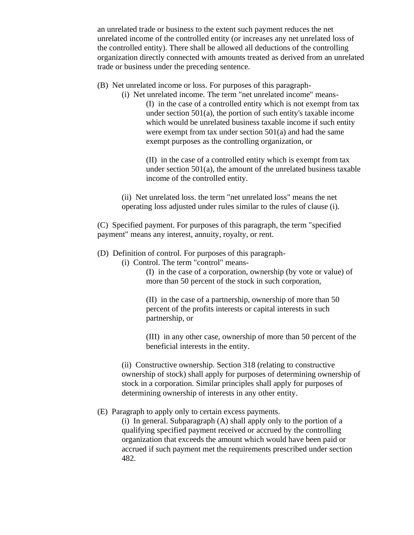an unrelated trade or business to the extent such payment reduces the net unrelated income of the controlled entity (or increases any net unrelated loss of the controlled entity). There shall be allowed all deductions of the controlling organization directly connected with amounts treated as derived from an unrelated trade or business under the preceding sentence.

- (B) Net unrelated income or loss. For purposes of this paragraph-
	- (i) Net unrelated income. The term "net unrelated income" means- (I) in the case of a controlled entity which is not exempt from tax under section  $501(a)$ , the portion of such entity's taxable income which would be unrelated business taxable income if such entity were exempt from tax under section 501(a) and had the same exempt purposes as the controlling organization, or

(II) in the case of a controlled entity which is exempt from tax under section 501(a), the amount of the unrelated business taxable income of the controlled entity.

(ii) Net unrelated loss. the term "net unrelated loss" means the net operating loss adjusted under rules similar to the rules of clause (i).

(C) Specified payment. For purposes of this paragraph, the term "specified payment" means any interest, annuity, royalty, or rent.

- (D) Definition of control. For purposes of this paragraph-
	- (i) Control. The term "control" means-

(I) in the case of a corporation, ownership (by vote or value) of more than 50 percent of the stock in such corporation,

(II) in the case of a partnership, ownership of more than 50 percent of the profits interests or capital interests in such partnership, or

(III) in any other case, ownership of more than 50 percent of the beneficial interests in the entity.

(ii) Constructive ownership. Section 318 (relating to constructive ownership of stock) shall apply for purposes of determining ownership of stock in a corporation. Similar principles shall apply for purposes of determining ownership of interests in any other entity.

(E) Paragraph to apply only to certain excess payments.

(i) In general. Subparagraph (A) shall apply only to the portion of a qualifying specified payment received or accrued by the controlling organization that exceeds the amount which would have been paid or accrued if such payment met the requirements prescribed under section 482.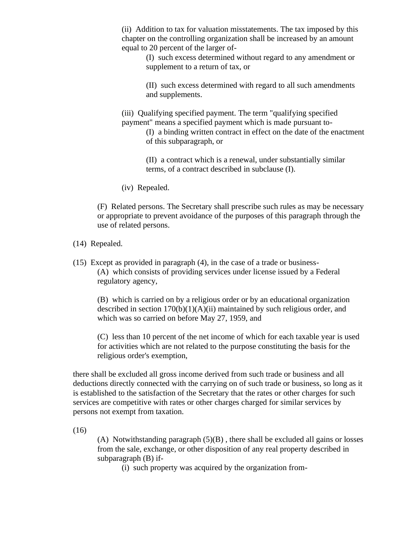(ii) Addition to tax for valuation misstatements. The tax imposed by this chapter on the controlling organization shall be increased by an amount equal to 20 percent of the larger of-

> (I) such excess determined without regard to any amendment or supplement to a return of tax, or

> (II) such excess determined with regard to all such amendments and supplements.

(iii) Qualifying specified payment. The term "qualifying specified payment" means a specified payment which is made pursuant to-

> (I) a binding written contract in effect on the date of the enactment of this subparagraph, or

(II) a contract which is a renewal, under substantially similar terms, of a contract described in subclause (I).

(iv) Repealed.

(F) Related persons. The Secretary shall prescribe such rules as may be necessary or appropriate to prevent avoidance of the purposes of this paragraph through the use of related persons.

#### (14) Repealed.

(15) Except as provided in paragraph (4), in the case of a trade or business- (A) which consists of providing services under license issued by a Federal regulatory agency,

(B) which is carried on by a religious order or by an educational organization described in section  $170(b)(1)(A)(ii)$  maintained by such religious order, and which was so carried on before May 27, 1959, and

(C) less than 10 percent of the net income of which for each taxable year is used for activities which are not related to the purpose constituting the basis for the religious order's exemption,

there shall be excluded all gross income derived from such trade or business and all deductions directly connected with the carrying on of such trade or business, so long as it is established to the satisfaction of the Secretary that the rates or other charges for such services are competitive with rates or other charges charged for similar services by persons not exempt from taxation.

(16)

(A) Notwithstanding paragraph  $(5)(B)$ , there shall be excluded all gains or losses from the sale, exchange, or other disposition of any real property described in subparagraph (B) if-

(i) such property was acquired by the organization from-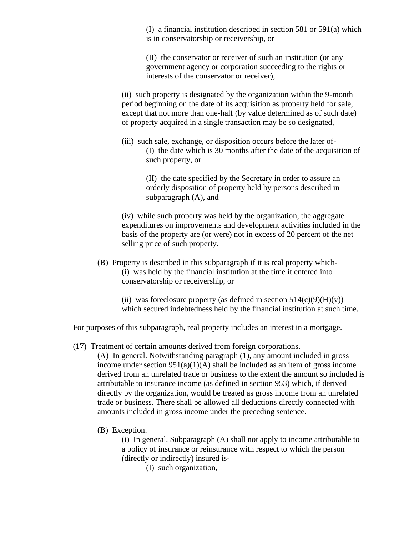(I) a financial institution described in section 581 or 591(a) which is in conservatorship or receivership, or

(II) the conservator or receiver of such an institution (or any government agency or corporation succeeding to the rights or interests of the conservator or receiver),

(ii) such property is designated by the organization within the 9-month period beginning on the date of its acquisition as property held for sale, except that not more than one-half (by value determined as of such date) of property acquired in a single transaction may be so designated,

(iii) such sale, exchange, or disposition occurs before the later of- (I) the date which is 30 months after the date of the acquisition of such property, or

> (II) the date specified by the Secretary in order to assure an orderly disposition of property held by persons described in subparagraph (A), and

(iv) while such property was held by the organization, the aggregate expenditures on improvements and development activities included in the basis of the property are (or were) not in excess of 20 percent of the net selling price of such property.

(B) Property is described in this subparagraph if it is real property which- (i) was held by the financial institution at the time it entered into conservatorship or receivership, or

(ii) was foreclosure property (as defined in section  $514(c)(9)(H)(v)$ ) which secured indebtedness held by the financial institution at such time.

For purposes of this subparagraph, real property includes an interest in a mortgage.

(17) Treatment of certain amounts derived from foreign corporations.

(A) In general. Notwithstanding paragraph (1), any amount included in gross income under section  $951(a)(1)(A)$  shall be included as an item of gross income derived from an unrelated trade or business to the extent the amount so included is attributable to insurance income (as defined in section 953) which, if derived directly by the organization, would be treated as gross income from an unrelated trade or business. There shall be allowed all deductions directly connected with amounts included in gross income under the preceding sentence.

(B) Exception.

(i) In general. Subparagraph (A) shall not apply to income attributable to a policy of insurance or reinsurance with respect to which the person (directly or indirectly) insured is-

(I) such organization,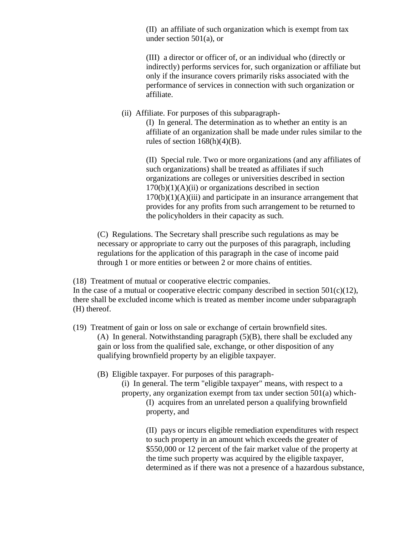(II) an affiliate of such organization which is exempt from tax under section 501(a), or

(III) a director or officer of, or an individual who (directly or indirectly) performs services for, such organization or affiliate but only if the insurance covers primarily risks associated with the performance of services in connection with such organization or affiliate.

(ii) Affiliate. For purposes of this subparagraph-

(I) In general. The determination as to whether an entity is an affiliate of an organization shall be made under rules similar to the rules of section  $168(h)(4)(B)$ .

(II) Special rule. Two or more organizations (and any affiliates of such organizations) shall be treated as affiliates if such organizations are colleges or universities described in section  $170(b)(1)(A)(ii)$  or organizations described in section  $170(b)(1)(A)(iii)$  and participate in an insurance arrangement that provides for any profits from such arrangement to be returned to the policyholders in their capacity as such.

(C) Regulations. The Secretary shall prescribe such regulations as may be necessary or appropriate to carry out the purposes of this paragraph, including regulations for the application of this paragraph in the case of income paid through 1 or more entities or between 2 or more chains of entities.

(18) Treatment of mutual or cooperative electric companies.

In the case of a mutual or cooperative electric company described in section  $501(c)(12)$ , there shall be excluded income which is treated as member income under subparagraph (H) thereof.

(19) Treatment of gain or loss on sale or exchange of certain brownfield sites. (A) In general. Notwithstanding paragraph (5)(B), there shall be excluded any gain or loss from the qualified sale, exchange, or other disposition of any qualifying brownfield property by an eligible taxpayer.

(B) Eligible taxpayer. For purposes of this paragraph-

(i) In general. The term "eligible taxpayer" means, with respect to a property, any organization exempt from tax under section 501(a) which- (I) acquires from an unrelated person a qualifying brownfield property, and

> (II) pays or incurs eligible remediation expenditures with respect to such property in an amount which exceeds the greater of \$550,000 or 12 percent of the fair market value of the property at the time such property was acquired by the eligible taxpayer, determined as if there was not a presence of a hazardous substance,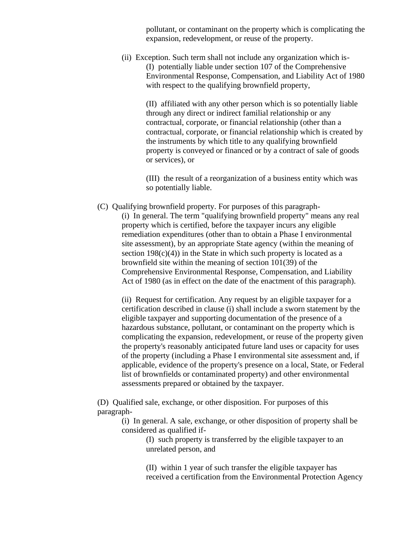pollutant, or contaminant on the property which is complicating the expansion, redevelopment, or reuse of the property.

(ii) Exception. Such term shall not include any organization which is- (I) potentially liable under section 107 of the Comprehensive Environmental Response, Compensation, and Liability Act of 1980 with respect to the qualifying brownfield property,

(II) affiliated with any other person which is so potentially liable through any direct or indirect familial relationship or any contractual, corporate, or financial relationship (other than a contractual, corporate, or financial relationship which is created by the instruments by which title to any qualifying brownfield property is conveyed or financed or by a contract of sale of goods or services), or

(III) the result of a reorganization of a business entity which was so potentially liable.

(C) Qualifying brownfield property. For purposes of this paragraph-

(i) In general. The term "qualifying brownfield property" means any real property which is certified, before the taxpayer incurs any eligible remediation expenditures (other than to obtain a Phase I environmental site assessment), by an appropriate State agency (within the meaning of section  $198(c)(4)$ ) in the State in which such property is located as a brownfield site within the meaning of section 101(39) of the Comprehensive Environmental Response, Compensation, and Liability Act of 1980 (as in effect on the date of the enactment of this paragraph).

(ii) Request for certification. Any request by an eligible taxpayer for a certification described in clause (i) shall include a sworn statement by the eligible taxpayer and supporting documentation of the presence of a hazardous substance, pollutant, or contaminant on the property which is complicating the expansion, redevelopment, or reuse of the property given the property's reasonably anticipated future land uses or capacity for uses of the property (including a Phase I environmental site assessment and, if applicable, evidence of the property's presence on a local, State, or Federal list of brownfields or contaminated property) and other environmental assessments prepared or obtained by the taxpayer.

(D) Qualified sale, exchange, or other disposition. For purposes of this paragraph-

(i) In general. A sale, exchange, or other disposition of property shall be considered as qualified if-

> (I) such property is transferred by the eligible taxpayer to an unrelated person, and

(II) within 1 year of such transfer the eligible taxpayer has received a certification from the Environmental Protection Agency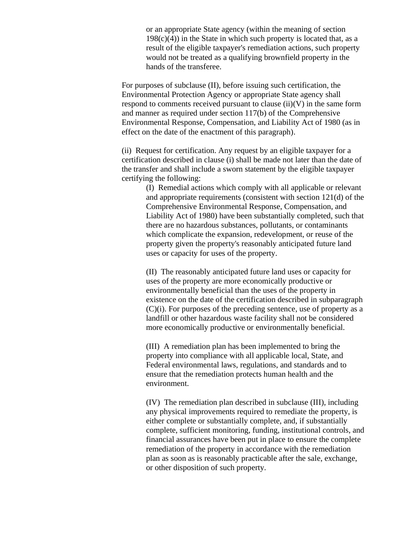or an appropriate State agency (within the meaning of section  $198(c)(4)$  in the State in which such property is located that, as a result of the eligible taxpayer's remediation actions, such property would not be treated as a qualifying brownfield property in the hands of the transferee.

For purposes of subclause (II), before issuing such certification, the Environmental Protection Agency or appropriate State agency shall respond to comments received pursuant to clause  $(ii)(V)$  in the same form and manner as required under section 117(b) of the Comprehensive Environmental Response, Compensation, and Liability Act of 1980 (as in effect on the date of the enactment of this paragraph).

(ii) Request for certification. Any request by an eligible taxpayer for a certification described in clause (i) shall be made not later than the date of the transfer and shall include a sworn statement by the eligible taxpayer certifying the following:

> (I) Remedial actions which comply with all applicable or relevant and appropriate requirements (consistent with section 121(d) of the Comprehensive Environmental Response, Compensation, and Liability Act of 1980) have been substantially completed, such that there are no hazardous substances, pollutants, or contaminants which complicate the expansion, redevelopment, or reuse of the property given the property's reasonably anticipated future land uses or capacity for uses of the property.

> (II) The reasonably anticipated future land uses or capacity for uses of the property are more economically productive or environmentally beneficial than the uses of the property in existence on the date of the certification described in subparagraph (C)(i). For purposes of the preceding sentence, use of property as a landfill or other hazardous waste facility shall not be considered more economically productive or environmentally beneficial.

(III) A remediation plan has been implemented to bring the property into compliance with all applicable local, State, and Federal environmental laws, regulations, and standards and to ensure that the remediation protects human health and the environment.

(IV) The remediation plan described in subclause (III), including any physical improvements required to remediate the property, is either complete or substantially complete, and, if substantially complete, sufficient monitoring, funding, institutional controls, and financial assurances have been put in place to ensure the complete remediation of the property in accordance with the remediation plan as soon as is reasonably practicable after the sale, exchange, or other disposition of such property.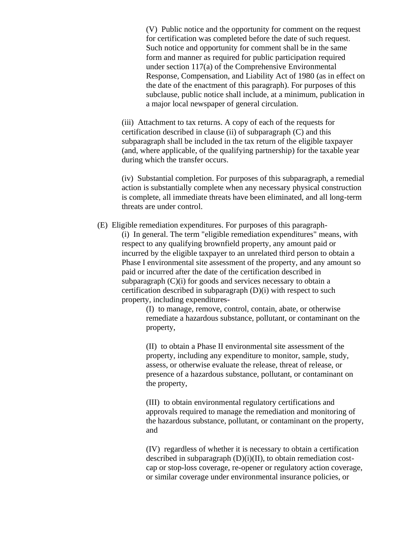(V) Public notice and the opportunity for comment on the request for certification was completed before the date of such request. Such notice and opportunity for comment shall be in the same form and manner as required for public participation required under section 117(a) of the Comprehensive Environmental Response, Compensation, and Liability Act of 1980 (as in effect on the date of the enactment of this paragraph). For purposes of this subclause, public notice shall include, at a minimum, publication in a major local newspaper of general circulation.

(iii) Attachment to tax returns. A copy of each of the requests for certification described in clause (ii) of subparagraph (C) and this subparagraph shall be included in the tax return of the eligible taxpayer (and, where applicable, of the qualifying partnership) for the taxable year during which the transfer occurs.

(iv) Substantial completion. For purposes of this subparagraph, a remedial action is substantially complete when any necessary physical construction is complete, all immediate threats have been eliminated, and all long-term threats are under control.

(E) Eligible remediation expenditures. For purposes of this paragraph- (i) In general. The term "eligible remediation expenditures" means, with respect to any qualifying brownfield property, any amount paid or incurred by the eligible taxpayer to an unrelated third person to obtain a Phase I environmental site assessment of the property, and any amount so paid or incurred after the date of the certification described in subparagraph (C)(i) for goods and services necessary to obtain a certification described in subparagraph (D)(i) with respect to such property, including expenditures-

> (I) to manage, remove, control, contain, abate, or otherwise remediate a hazardous substance, pollutant, or contaminant on the property,

(II) to obtain a Phase II environmental site assessment of the property, including any expenditure to monitor, sample, study, assess, or otherwise evaluate the release, threat of release, or presence of a hazardous substance, pollutant, or contaminant on the property,

(III) to obtain environmental regulatory certifications and approvals required to manage the remediation and monitoring of the hazardous substance, pollutant, or contaminant on the property, and

(IV) regardless of whether it is necessary to obtain a certification described in subparagraph (D)(i)(II), to obtain remediation costcap or stop-loss coverage, re-opener or regulatory action coverage, or similar coverage under environmental insurance policies, or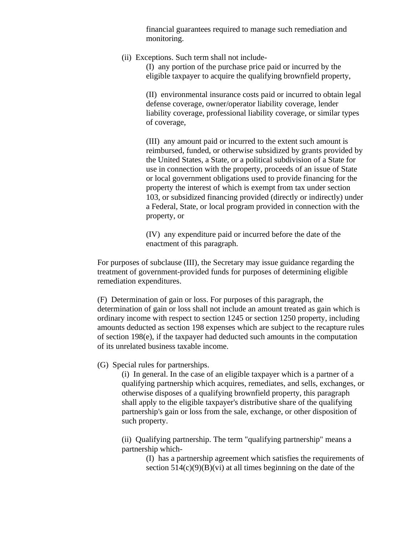financial guarantees required to manage such remediation and monitoring.

(ii) Exceptions. Such term shall not include-

(I) any portion of the purchase price paid or incurred by the eligible taxpayer to acquire the qualifying brownfield property,

(II) environmental insurance costs paid or incurred to obtain legal defense coverage, owner/operator liability coverage, lender liability coverage, professional liability coverage, or similar types of coverage,

(III) any amount paid or incurred to the extent such amount is reimbursed, funded, or otherwise subsidized by grants provided by the United States, a State, or a political subdivision of a State for use in connection with the property, proceeds of an issue of State or local government obligations used to provide financing for the property the interest of which is exempt from tax under section 103, or subsidized financing provided (directly or indirectly) under a Federal, State, or local program provided in connection with the property, or

(IV) any expenditure paid or incurred before the date of the enactment of this paragraph.

For purposes of subclause (III), the Secretary may issue guidance regarding the treatment of government-provided funds for purposes of determining eligible remediation expenditures.

(F) Determination of gain or loss. For purposes of this paragraph, the determination of gain or loss shall not include an amount treated as gain which is ordinary income with respect to section 1245 or section 1250 property, including amounts deducted as section 198 expenses which are subject to the recapture rules of section 198(e), if the taxpayer had deducted such amounts in the computation of its unrelated business taxable income.

#### (G) Special rules for partnerships.

(i) In general. In the case of an eligible taxpayer which is a partner of a qualifying partnership which acquires, remediates, and sells, exchanges, or otherwise disposes of a qualifying brownfield property, this paragraph shall apply to the eligible taxpayer's distributive share of the qualifying partnership's gain or loss from the sale, exchange, or other disposition of such property.

(ii) Qualifying partnership. The term "qualifying partnership" means a partnership which-

> (I) has a partnership agreement which satisfies the requirements of section  $514(c)(9)(B)(vi)$  at all times beginning on the date of the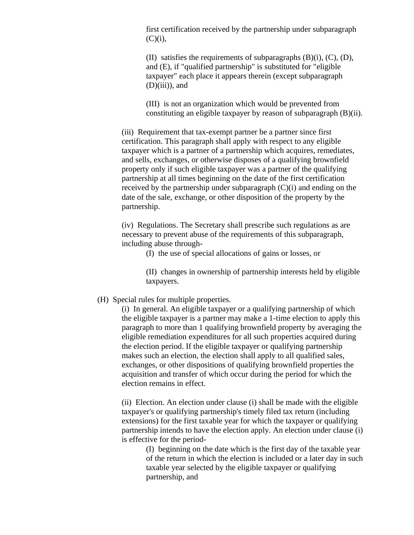first certification received by the partnership under subparagraph  $(C)(i)$ ,

(II) satisfies the requirements of subparagraphs (B)(i), (C), (D), and (E), if "qualified partnership" is substituted for "eligible taxpayer" each place it appears therein (except subparagraph  $(D)(iii)$ , and

(III) is not an organization which would be prevented from constituting an eligible taxpayer by reason of subparagraph (B)(ii).

(iii) Requirement that tax-exempt partner be a partner since first certification. This paragraph shall apply with respect to any eligible taxpayer which is a partner of a partnership which acquires, remediates, and sells, exchanges, or otherwise disposes of a qualifying brownfield property only if such eligible taxpayer was a partner of the qualifying partnership at all times beginning on the date of the first certification received by the partnership under subparagraph (C)(i) and ending on the date of the sale, exchange, or other disposition of the property by the partnership.

(iv) Regulations. The Secretary shall prescribe such regulations as are necessary to prevent abuse of the requirements of this subparagraph, including abuse through-

(I) the use of special allocations of gains or losses, or

(II) changes in ownership of partnership interests held by eligible taxpayers.

#### (H) Special rules for multiple properties.

(i) In general. An eligible taxpayer or a qualifying partnership of which the eligible taxpayer is a partner may make a 1-time election to apply this paragraph to more than 1 qualifying brownfield property by averaging the eligible remediation expenditures for all such properties acquired during the election period. If the eligible taxpayer or qualifying partnership makes such an election, the election shall apply to all qualified sales, exchanges, or other dispositions of qualifying brownfield properties the acquisition and transfer of which occur during the period for which the election remains in effect.

(ii) Election. An election under clause (i) shall be made with the eligible taxpayer's or qualifying partnership's timely filed tax return (including extensions) for the first taxable year for which the taxpayer or qualifying partnership intends to have the election apply. An election under clause (i) is effective for the period-

(I) beginning on the date which is the first day of the taxable year of the return in which the election is included or a later day in such taxable year selected by the eligible taxpayer or qualifying partnership, and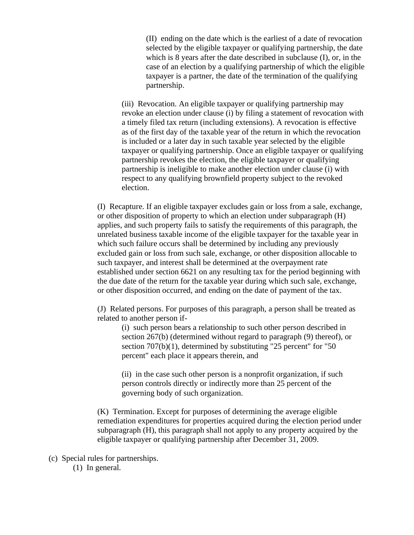(II) ending on the date which is the earliest of a date of revocation selected by the eligible taxpayer or qualifying partnership, the date which is 8 years after the date described in subclause (I), or, in the case of an election by a qualifying partnership of which the eligible taxpayer is a partner, the date of the termination of the qualifying partnership.

(iii) Revocation. An eligible taxpayer or qualifying partnership may revoke an election under clause (i) by filing a statement of revocation with a timely filed tax return (including extensions). A revocation is effective as of the first day of the taxable year of the return in which the revocation is included or a later day in such taxable year selected by the eligible taxpayer or qualifying partnership. Once an eligible taxpayer or qualifying partnership revokes the election, the eligible taxpayer or qualifying partnership is ineligible to make another election under clause (i) with respect to any qualifying brownfield property subject to the revoked election.

(I) Recapture. If an eligible taxpayer excludes gain or loss from a sale, exchange, or other disposition of property to which an election under subparagraph (H) applies, and such property fails to satisfy the requirements of this paragraph, the unrelated business taxable income of the eligible taxpayer for the taxable year in which such failure occurs shall be determined by including any previously excluded gain or loss from such sale, exchange, or other disposition allocable to such taxpayer, and interest shall be determined at the overpayment rate established under section 6621 on any resulting tax for the period beginning with the due date of the return for the taxable year during which such sale, exchange, or other disposition occurred, and ending on the date of payment of the tax.

(J) Related persons. For purposes of this paragraph, a person shall be treated as related to another person if-

(i) such person bears a relationship to such other person described in section 267(b) (determined without regard to paragraph (9) thereof), or section 707(b)(1), determined by substituting "25 percent" for "50 percent" each place it appears therein, and

(ii) in the case such other person is a nonprofit organization, if such person controls directly or indirectly more than 25 percent of the governing body of such organization.

(K) Termination. Except for purposes of determining the average eligible remediation expenditures for properties acquired during the election period under subparagraph (H), this paragraph shall not apply to any property acquired by the eligible taxpayer or qualifying partnership after December 31, 2009.

(c) Special rules for partnerships. (1) In general.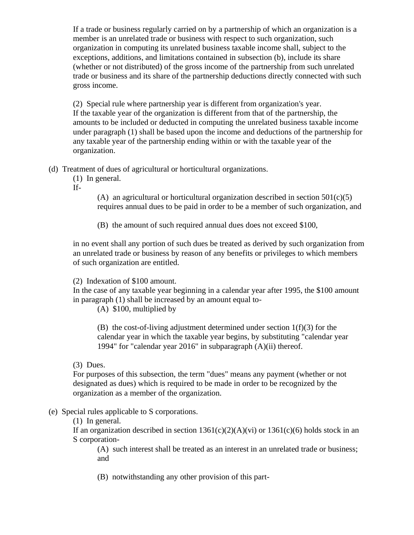If a trade or business regularly carried on by a partnership of which an organization is a member is an unrelated trade or business with respect to such organization, such organization in computing its unrelated business taxable income shall, subject to the exceptions, additions, and limitations contained in subsection (b), include its share (whether or not distributed) of the gross income of the partnership from such unrelated trade or business and its share of the partnership deductions directly connected with such gross income.

(2) Special rule where partnership year is different from organization's year. If the taxable year of the organization is different from that of the partnership, the amounts to be included or deducted in computing the unrelated business taxable income under paragraph (1) shall be based upon the income and deductions of the partnership for any taxable year of the partnership ending within or with the taxable year of the organization.

- (d) Treatment of dues of agricultural or horticultural organizations.
	- (1) In general.

If-

(A) an agricultural or horticultural organization described in section  $501(c)(5)$ requires annual dues to be paid in order to be a member of such organization, and

(B) the amount of such required annual dues does not exceed \$100,

in no event shall any portion of such dues be treated as derived by such organization from an unrelated trade or business by reason of any benefits or privileges to which members of such organization are entitled.

(2) Indexation of \$100 amount.

In the case of any taxable year beginning in a calendar year after 1995, the \$100 amount in paragraph (1) shall be increased by an amount equal to-

(A) \$100, multiplied by

(B) the cost-of-living adjustment determined under section 1(f)(3) for the calendar year in which the taxable year begins, by substituting "calendar year 1994" for "calendar year 2016" in subparagraph (A)(ii) thereof.

(3) Dues.

For purposes of this subsection, the term "dues" means any payment (whether or not designated as dues) which is required to be made in order to be recognized by the organization as a member of the organization.

# (e) Special rules applicable to S corporations.

(1) In general.

If an organization described in section  $1361(c)(2)(A)(vi)$  or  $1361(c)(6)$  holds stock in an S corporation-

(A) such interest shall be treated as an interest in an unrelated trade or business; and

(B) notwithstanding any other provision of this part-